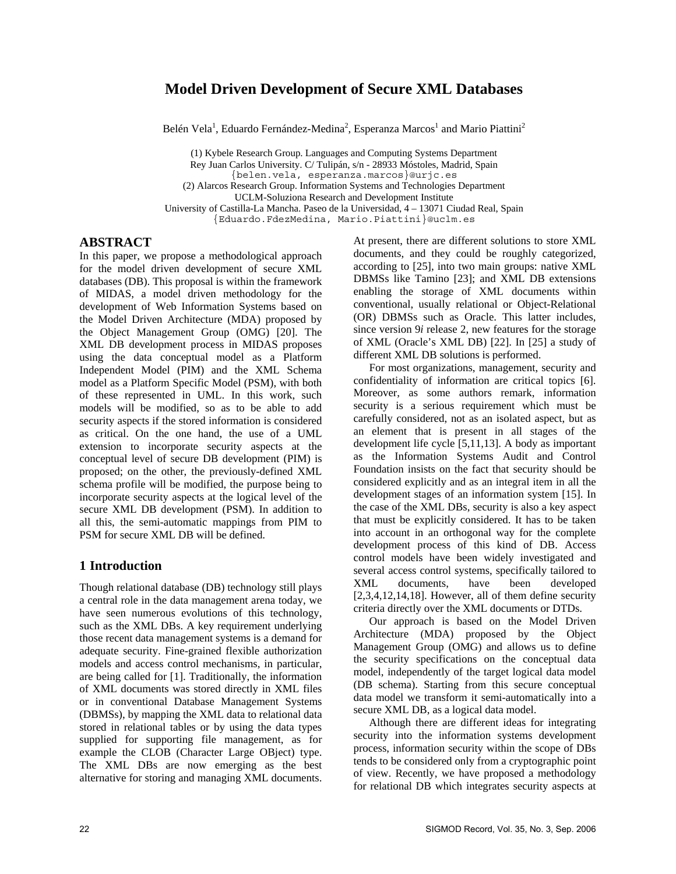# **Model Driven Development of Secure XML Databases**

Belén Vela<sup>1</sup>, Eduardo Fernández-Medina<sup>2</sup>, Esperanza Marcos<sup>1</sup> and Mario Piattini<sup>2</sup>

(1) Kybele Research Group. Languages and Computing Systems Department Rey Juan Carlos University. C/ Tulipán, s/n - 28933 Móstoles, Madrid, Spain {belen.vela, esperanza.marcos}@urjc.es (2) Alarcos Research Group. Information Systems and Technologies Department UCLM-Soluziona Research and Development Institute University of Castilla-La Mancha. Paseo de la Universidad, 4 – 13071 Ciudad Real, Spain {Eduardo.FdezMedina, Mario.Piattini}@uclm.es

## **ABSTRACT**

In this paper, we propose a methodological approach for the model driven development of secure XML databases (DB). This proposal is within the framework of MIDAS, a model driven methodology for the development of Web Information Systems based on the Model Driven Architecture (MDA) proposed by the Object Management Group (OMG) [20]. The XML DB development process in MIDAS proposes using the data conceptual model as a Platform Independent Model (PIM) and the XML Schema model as a Platform Specific Model (PSM), with both of these represented in UML. In this work, such models will be modified, so as to be able to add security aspects if the stored information is considered as critical. On the one hand, the use of a UML extension to incorporate security aspects at the conceptual level of secure DB development (PIM) is proposed; on the other, the previously-defined XML schema profile will be modified, the purpose being to incorporate security aspects at the logical level of the secure XML DB development (PSM). In addition to all this, the semi-automatic mappings from PIM to PSM for secure XML DB will be defined.

#### **1 Introduction**

Though relational database (DB) technology still plays a central role in the data management arena today, we have seen numerous evolutions of this technology, such as the XML DBs. A key requirement underlying those recent data management systems is a demand for adequate security. Fine-grained flexible authorization models and access control mechanisms, in particular, are being called for [1]. Traditionally, the information of XML documents was stored directly in XML files or in conventional Database Management Systems (DBMSs), by mapping the XML data to relational data stored in relational tables or by using the data types supplied for supporting file management, as for example the CLOB (Character Large OBject) type. The XML DBs are now emerging as the best alternative for storing and managing XML documents.

At present, there are different solutions to store XML documents, and they could be roughly categorized, according to [25], into two main groups: native XML DBMSs like Tamino [23]; and XML DB extensions enabling the storage of XML documents within conventional, usually relational or Object-Relational (OR) DBMSs such as Oracle. This latter includes, since version 9*i* release 2, new features for the storage of XML (Oracle's XML DB) [22]. In [25] a study of different XML DB solutions is performed.

For most organizations, management, security and confidentiality of information are critical topics [6]. Moreover, as some authors remark, information security is a serious requirement which must be carefully considered, not as an isolated aspect, but as an element that is present in all stages of the development life cycle [5,11,13]. A body as important as the Information Systems Audit and Control Foundation insists on the fact that security should be considered explicitly and as an integral item in all the development stages of an information system [15]. In the case of the XML DBs, security is also a key aspect that must be explicitly considered. It has to be taken into account in an orthogonal way for the complete development process of this kind of DB. Access control models have been widely investigated and several access control systems, specifically tailored to XML documents, have been developed  $[2,3,4,12,14,18]$ . However, all of them define security criteria directly over the XML documents or DTDs.

Our approach is based on the Model Driven Architecture (MDA) proposed by the Object Management Group (OMG) and allows us to define the security specifications on the conceptual data model, independently of the target logical data model (DB schema). Starting from this secure conceptual data model we transform it semi-automatically into a secure XML DB, as a logical data model.

Although there are different ideas for integrating security into the information systems development process, information security within the scope of DBs tends to be considered only from a cryptographic point of view. Recently, we have proposed a methodology for relational DB which integrates security aspects at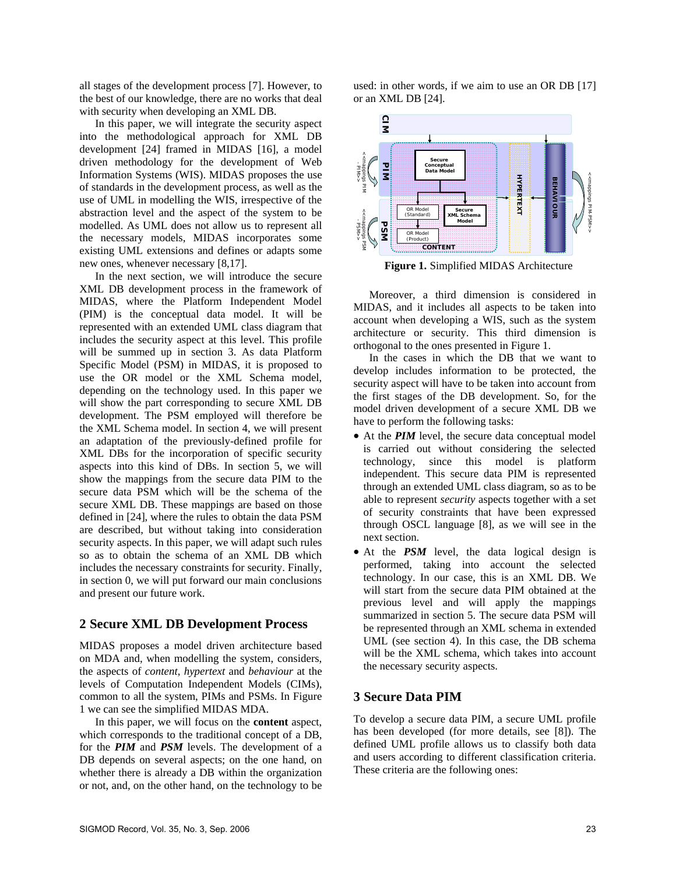all stages of the development process [7]. However, to the best of our knowledge, there are no works that deal with security when developing an XML DB.

In this paper, we will integrate the security aspect into the methodological approach for XML DB development [24] framed in MIDAS [16], a model driven methodology for the development of Web Information Systems (WIS). MIDAS proposes the use of standards in the development process, as well as the use of UML in modelling the WIS, irrespective of the abstraction level and the aspect of the system to be modelled. As UML does not allow us to represent all the necessary models, MIDAS incorporates some existing UML extensions and defines or adapts some new ones, whenever necessary [8,17].

In the next section, we will introduce the secure XML DB development process in the framework of MIDAS, where the Platform Independent Model (PIM) is the conceptual data model. It will be represented with an extended UML class diagram that includes the security aspect at this level. This profile will be summed up in section 3. As data Platform Specific Model (PSM) in MIDAS, it is proposed to use the OR model or the XML Schema model, depending on the technology used. In this paper we will show the part corresponding to secure XML DB development. The PSM employed will therefore be the XML Schema model. In section 4, we will present an adaptation of the previously-defined profile for XML DBs for the incorporation of specific security aspects into this kind of DBs. In section 5, we will show the mappings from the secure data PIM to the secure data PSM which will be the schema of the secure XML DB. These mappings are based on those defined in [24], where the rules to obtain the data PSM are described, but without taking into consideration security aspects. In this paper, we will adapt such rules so as to obtain the schema of an XML DB which includes the necessary constraints for security. Finally, in section 0, we will put forward our main conclusions and present our future work.

#### **2 Secure XML DB Development Process**

MIDAS proposes a model driven architecture based on MDA and, when modelling the system, considers, the aspects of *content*, *hypertext* and *behaviour* at the levels of Computation Independent Models (CIMs), common to all the system, PIMs and PSMs. In Figure 1 we can see the simplified MIDAS MDA.

In this paper, we will focus on the **content** aspect, which corresponds to the traditional concept of a DB, for the *PIM* and *PSM* levels. The development of a DB depends on several aspects; on the one hand, on whether there is already a DB within the organization or not, and, on the other hand, on the technology to be

used: in other words, if we aim to use an OR DB [17] or an XML DB [24].



**Figure 1.** Simplified MIDAS Architecture

Moreover, a third dimension is considered in MIDAS, and it includes all aspects to be taken into account when developing a WIS, such as the system architecture or security. This third dimension is orthogonal to the ones presented in Figure 1.

In the cases in which the DB that we want to develop includes information to be protected, the security aspect will have to be taken into account from the first stages of the DB development. So, for the model driven development of a secure XML DB we have to perform the following tasks:

- At the *PIM* level, the secure data conceptual model is carried out without considering the selected technology, since this model is platform independent. This secure data PIM is represented through an extended UML class diagram, so as to be able to represent *security* aspects together with a set of security constraints that have been expressed through OSCL language [8], as we will see in the next section.
- At the *PSM* level, the data logical design is performed, taking into account the selected technology. In our case, this is an XML DB. We will start from the secure data PIM obtained at the previous level and will apply the mappings summarized in section 5. The secure data PSM will be represented through an XML schema in extended UML (see section 4). In this case, the DB schema will be the XML schema, which takes into account the necessary security aspects.

# **3 Secure Data PIM**

To develop a secure data PIM, a secure UML profile has been developed (for more details, see [8]). The defined UML profile allows us to classify both data and users according to different classification criteria. These criteria are the following ones: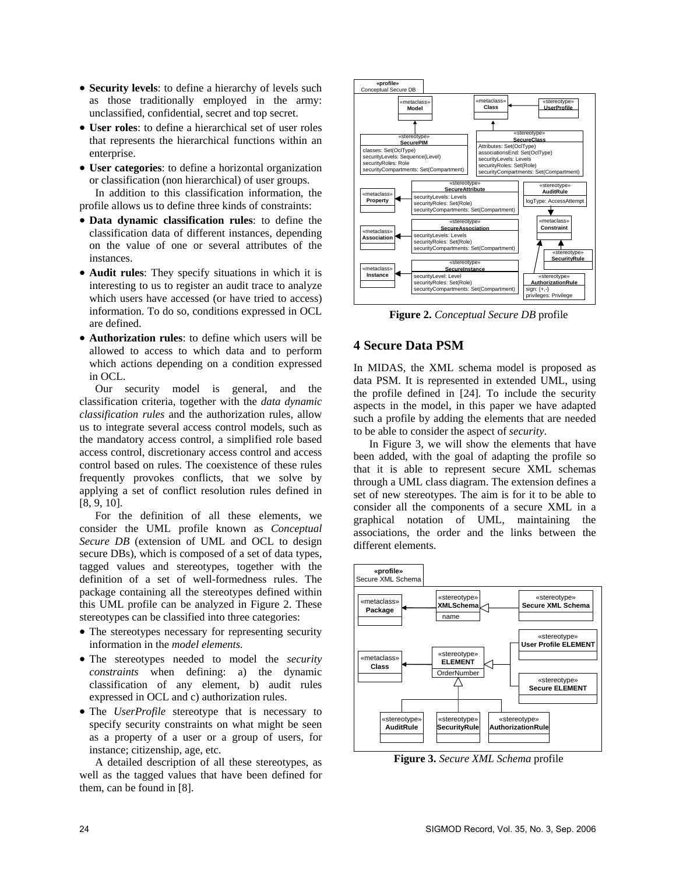- **Security levels**: to define a hierarchy of levels such as those traditionally employed in the army: unclassified, confidential, secret and top secret.
- **User roles**: to define a hierarchical set of user roles that represents the hierarchical functions within an enterprise.
- **User categories**: to define a horizontal organization or classification (non hierarchical) of user groups.

In addition to this classification information, the profile allows us to define three kinds of constraints:

- **Data dynamic classification rules**: to define the classification data of different instances, depending on the value of one or several attributes of the instances.
- **Audit rules**: They specify situations in which it is interesting to us to register an audit trace to analyze which users have accessed (or have tried to access) information. To do so, conditions expressed in OCL are defined.
- **Authorization rules**: to define which users will be allowed to access to which data and to perform which actions depending on a condition expressed in OCL.

Our security model is general, and the classification criteria, together with the *data dynamic classification rules* and the authorization rules, allow us to integrate several access control models, such as the mandatory access control, a simplified role based access control, discretionary access control and access control based on rules. The coexistence of these rules frequently provokes conflicts, that we solve by applying a set of conflict resolution rules defined in [8, 9, 10].

For the definition of all these elements, we consider the UML profile known as *Conceptual Secure DB* (extension of UML and OCL to design secure DBs), which is composed of a set of data types, tagged values and stereotypes, together with the definition of a set of well-formedness rules. The package containing all the stereotypes defined within this UML profile can be analyzed in Figure 2. These stereotypes can be classified into three categories:

- The stereotypes necessary for representing security information in the *model elements.*
- The stereotypes needed to model the *security constraints* when defining: a) the dynamic classification of any element, b) audit rules expressed in OCL and c) authorization rules.
- The *UserProfile* stereotype that is necessary to specify security constraints on what might be seen as a property of a user or a group of users, for instance; citizenship, age, etc.

A detailed description of all these stereotypes, as well as the tagged values that have been defined for them, can be found in [8].



**Figure 2.** *Conceptual Secure DB* profile

## **4 Secure Data PSM**

In MIDAS, the XML schema model is proposed as data PSM. It is represented in extended UML, using the profile defined in [24]. To include the security aspects in the model, in this paper we have adapted such a profile by adding the elements that are needed to be able to consider the aspect of *security*.

In Figure 3, we will show the elements that have been added, with the goal of adapting the profile so that it is able to represent secure XML schemas through a UML class diagram. The extension defines a set of new stereotypes. The aim is for it to be able to consider all the components of a secure XML in a graphical notation of UML, maintaining the associations, the order and the links between the different elements.



**Figure 3.** *Secure XML Schema* profile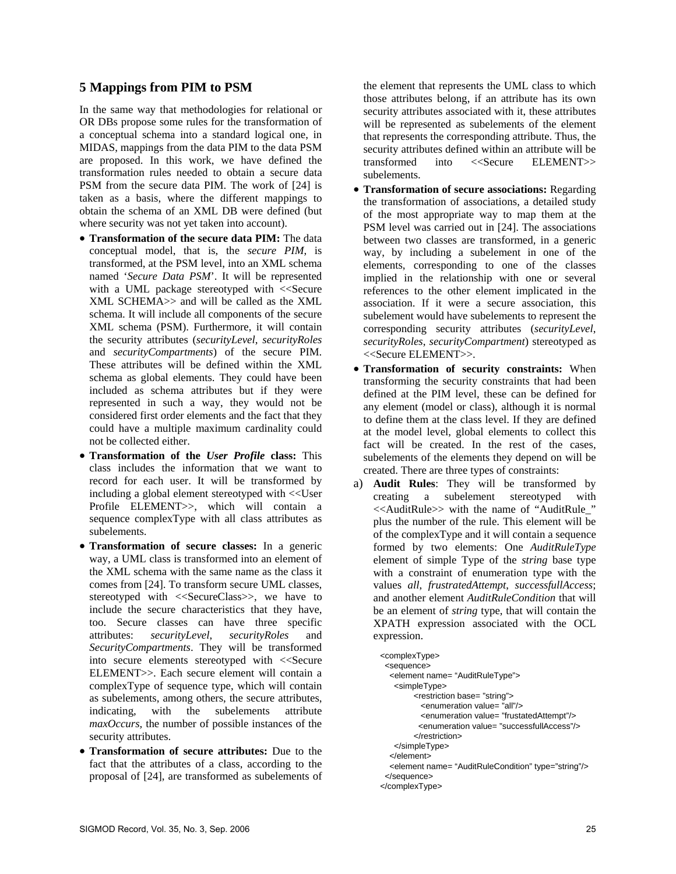# **5 Mappings from PIM to PSM**

In the same way that methodologies for relational or OR DBs propose some rules for the transformation of a conceptual schema into a standard logical one, in MIDAS, mappings from the data PIM to the data PSM are proposed. In this work, we have defined the transformation rules needed to obtain a secure data PSM from the secure data PIM. The work of [24] is taken as a basis, where the different mappings to obtain the schema of an XML DB were defined (but where security was not yet taken into account).

- **Transformation of the secure data PIM:** The data conceptual model, that is, the *secure PIM*, is transformed, at the PSM level, into an XML schema named '*Secure Data PSM*'. It will be represented with a UML package stereotyped with <<Secure XML SCHEMA>> and will be called as the XML schema. It will include all components of the secure XML schema (PSM). Furthermore, it will contain the security attributes (*securityLevel*, *securityRoles* and *securityCompartments*) of the secure PIM. These attributes will be defined within the XML schema as global elements. They could have been included as schema attributes but if they were represented in such a way, they would not be considered first order elements and the fact that they could have a multiple maximum cardinality could not be collected either.
- **Transformation of the** *User Profile* **class:** This class includes the information that we want to record for each user. It will be transformed by including a global element stereotyped with <<User Profile ELEMENT>>, which will contain a sequence complexType with all class attributes as subelements.
- **Transformation of secure classes:** In a generic way, a UML class is transformed into an element of the XML schema with the same name as the class it comes from [24]. To transform secure UML classes, stereotyped with  $\langle$ SecureClass>>, we have to include the secure characteristics that they have, too. Secure classes can have three specific attributes: *securityLevel*, *securityRoles* and *SecurityCompartments*. They will be transformed into secure elements stereotyped with <<Secure ELEMENT>>. Each secure element will contain a complexType of sequence type, which will contain as subelements, among others, the secure attributes, indicating, with the subelements attribute *maxOccurs,* the number of possible instances of the security attributes.
- **Transformation of secure attributes:** Due to the fact that the attributes of a class, according to the proposal of [24], are transformed as subelements of

the element that represents the UML class to which those attributes belong, if an attribute has its own security attributes associated with it, these attributes will be represented as subelements of the element that represents the corresponding attribute. Thus, the security attributes defined within an attribute will be transformed into <<Secure ELEMENT>> subelements.

- **Transformation of secure associations:** Regarding the transformation of associations, a detailed study of the most appropriate way to map them at the PSM level was carried out in [24]. The associations between two classes are transformed, in a generic way, by including a subelement in one of the elements, corresponding to one of the classes implied in the relationship with one or several references to the other element implicated in the association. If it were a secure association, this subelement would have subelements to represent the corresponding security attributes (*securityLevel*, *securityRoles*, *securityCompartment*) stereotyped as <<Secure ELEMENT>>.
- **Transformation of security constraints:** When transforming the security constraints that had been defined at the PIM level, these can be defined for any element (model or class), although it is normal to define them at the class level. If they are defined at the model level, global elements to collect this fact will be created. In the rest of the cases, subelements of the elements they depend on will be created. There are three types of constraints:
- a) **Audit Rules**: They will be transformed by creating a subelement stereotyped with <<AuditRule>> with the name of "AuditRule\_" plus the number of the rule. This element will be of the complexType and it will contain a sequence formed by two elements: One *AuditRuleType*  element of simple Type of the *string* base type with a constraint of enumeration type with the values *all*, *frustratedAttempt*, *successfullAccess*; and another element *AuditRuleCondition* that will be an element of *string* type, that will contain the XPATH expression associated with the OCL expression.

```
<complexType>
 <sequence>
  <element name= "AuditRuleType">
   <simpleType>
        <restriction base= "string">
          <enumeration value= "all"/>
          <enumeration value= "frustatedAttempt"/>
         <enumeration value= "successfullAccess"/>
        </restriction>
   </simpleType>
  </element>
  <element name= "AuditRuleCondition" type="string"/>
 </sequence>
</complexType>
```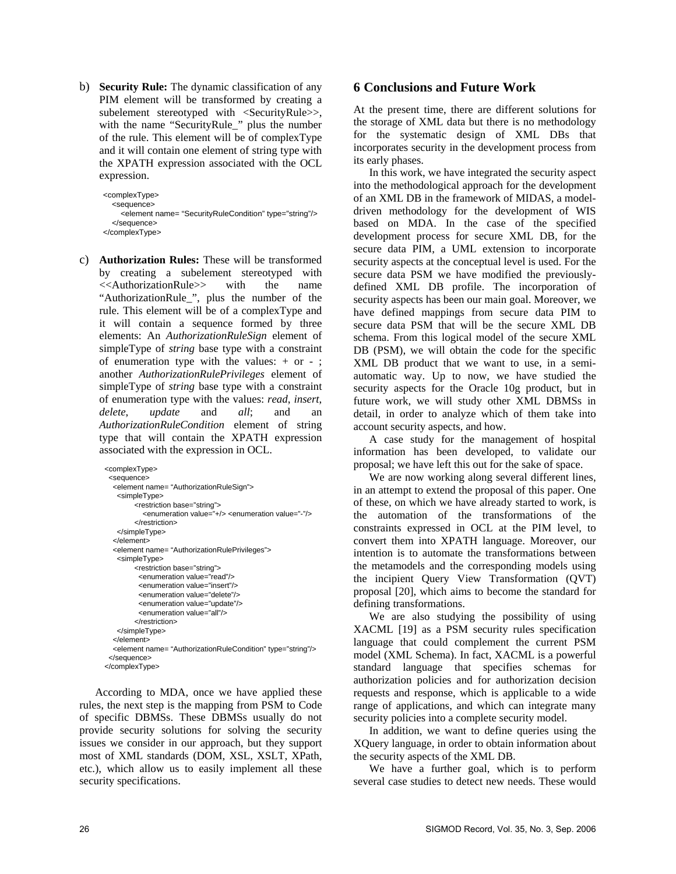b) **Security Rule:** The dynamic classification of any PIM element will be transformed by creating a subelement stereotyped with <SecurityRule>>, with the name "SecurityRule " plus the number of the rule. This element will be of complexType and it will contain one element of string type with the XPATH expression associated with the OCL expression.

```
<complexType>
  <sequence>
    <element name= "SecurityRuleCondition" type="string"/>
  </sequence>
</complexType>
```
c) **Authorization Rules:** These will be transformed by creating a subelement stereotyped with <<AuthorizationRule>> with the name "AuthorizationRule\_", plus the number of the rule. This element will be of a complexType and it will contain a sequence formed by three elements: An *AuthorizationRuleSign* element of simpleType of *string* base type with a constraint of enumeration type with the values:  $+$  or  $-$ ; another *AuthorizationRulePrivileges* element of simpleType of *string* base type with a constraint of enumeration type with the values: *read*, *insert*, *delete*, *update* and *all*; and an *AuthorizationRuleCondition* element of string type that will contain the XPATH expression associated with the expression in OCL.

```
<complexType>
 <sequence>
  <element name= "AuthorizationRuleSign">
   <simpleType>
        <restriction base="string">
           <enumeration value="+/> <enumeration value="-"/>
        </restriction>
   </simpleType>
  </element>
  <element name= "AuthorizationRulePrivileges">
   <simpleType> 
        <restriction base="string">
          <enumeration value="read"/> 
          <enumeration value="insert"/>
          <enumeration value="delete"/>
         <enumeration value="update"/>
         <enumeration value="all"/>
        </restriction>
   </simpleType>
  </element>
  <element name= "AuthorizationRuleCondition" type="string"/>
 </sequence>
</complexType>
```
According to MDA, once we have applied these rules, the next step is the mapping from PSM to Code of specific DBMSs. These DBMSs usually do not provide security solutions for solving the security issues we consider in our approach, but they support most of XML standards (DOM, XSL, XSLT, XPath, etc.), which allow us to easily implement all these security specifications.

# **6 Conclusions and Future Work**

At the present time, there are different solutions for the storage of XML data but there is no methodology for the systematic design of XML DBs that incorporates security in the development process from its early phases.

In this work, we have integrated the security aspect into the methodological approach for the development of an XML DB in the framework of MIDAS, a modeldriven methodology for the development of WIS based on MDA. In the case of the specified development process for secure XML DB, for the secure data PIM, a UML extension to incorporate security aspects at the conceptual level is used. For the secure data PSM we have modified the previouslydefined XML DB profile. The incorporation of security aspects has been our main goal. Moreover, we have defined mappings from secure data PIM to secure data PSM that will be the secure XML DB schema. From this logical model of the secure XML DB (PSM), we will obtain the code for the specific XML DB product that we want to use, in a semiautomatic way. Up to now, we have studied the security aspects for the Oracle 10g product, but in future work, we will study other XML DBMSs in detail, in order to analyze which of them take into account security aspects, and how.

A case study for the management of hospital information has been developed, to validate our proposal; we have left this out for the sake of space.

We are now working along several different lines, in an attempt to extend the proposal of this paper. One of these, on which we have already started to work, is the automation of the transformations of the constraints expressed in OCL at the PIM level, to convert them into XPATH language. Moreover, our intention is to automate the transformations between the metamodels and the corresponding models using the incipient Query View Transformation (QVT) proposal [20], which aims to become the standard for defining transformations.

We are also studying the possibility of using XACML [19] as a PSM security rules specification language that could complement the current PSM model (XML Schema). In fact, XACML is a powerful standard language that specifies schemas for authorization policies and for authorization decision requests and response, which is applicable to a wide range of applications, and which can integrate many security policies into a complete security model.

In addition, we want to define queries using the XQuery language, in order to obtain information about the security aspects of the XML DB.

We have a further goal, which is to perform several case studies to detect new needs. These would